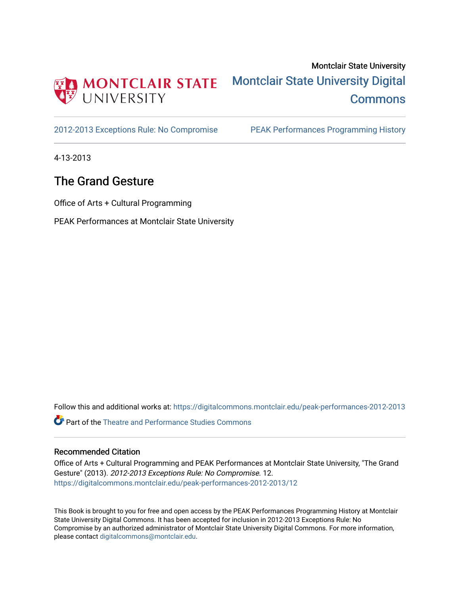

[2012-2013 Exceptions Rule: No Compromise](https://digitalcommons.montclair.edu/peak-performances-2012-2013) PEAK Performances Programming History

4-13-2013

# The Grand Gesture

Office of Arts + Cultural Programming

PEAK Performances at Montclair State University

Follow this and additional works at: [https://digitalcommons.montclair.edu/peak-performances-2012-2013](https://digitalcommons.montclair.edu/peak-performances-2012-2013?utm_source=digitalcommons.montclair.edu%2Fpeak-performances-2012-2013%2F12&utm_medium=PDF&utm_campaign=PDFCoverPages) 

Part of the [Theatre and Performance Studies Commons](http://network.bepress.com/hgg/discipline/552?utm_source=digitalcommons.montclair.edu%2Fpeak-performances-2012-2013%2F12&utm_medium=PDF&utm_campaign=PDFCoverPages) 

### Recommended Citation

Office of Arts + Cultural Programming and PEAK Performances at Montclair State University, "The Grand Gesture" (2013). 2012-2013 Exceptions Rule: No Compromise. 12. [https://digitalcommons.montclair.edu/peak-performances-2012-2013/12](https://digitalcommons.montclair.edu/peak-performances-2012-2013/12?utm_source=digitalcommons.montclair.edu%2Fpeak-performances-2012-2013%2F12&utm_medium=PDF&utm_campaign=PDFCoverPages)

This Book is brought to you for free and open access by the PEAK Performances Programming History at Montclair State University Digital Commons. It has been accepted for inclusion in 2012-2013 Exceptions Rule: No Compromise by an authorized administrator of Montclair State University Digital Commons. For more information, please contact [digitalcommons@montclair.edu.](mailto:digitalcommons@montclair.edu)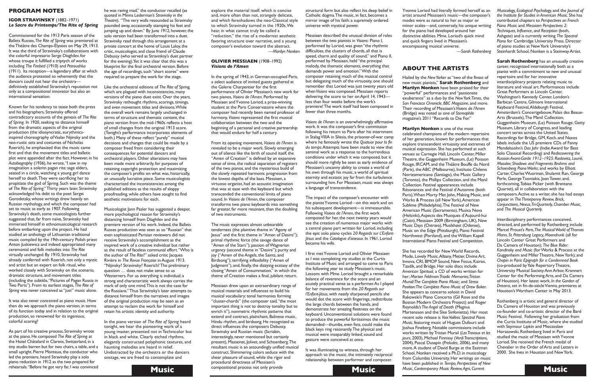explore the material itself, which is concise and, more often than not, strangely delicate, and which foreshadows the neo-Classical style to which Stravinsky turned in the 1920s.We hear, in what cannot truly be called a "reduction," the rise of a modernist aesthetic favoring structure over narrative, and a young composer's evolution toward the abstract. *—Marilyn Nonken*

#### **OLIVIER MESSIAEN** (1908–1992) *Visions de l'Amen*

In the spring of 1943, in German-occupied Paris, a select audience of invited guests gathered at the Galerie Charpentier for the first performance of Olivier Messiaen's new work for two pianos, *Visions de l'Amen*. Performed by Messiaen andYvonne Loriod, a prize-winning student at the Paris Conservatoire where the composer had recently been named professor of harmony, *Visions* represented the first musical collaboration between the two and the beginning of a personal and creative partnership that would endure for half a century.

From its opening movement, *Visions de l'Amen* is revealed to be a major work. Slowly emerging out of silence like the birth of sound itself, the "Amen of Creation" is defined by an expansive sense of time, the radical separation of registers of the two pianos, and the mysterious build of the slowly repeated harmonic progression from the lowest depths of the bass. Messiaen, a virtuoso organist, had an acoustic imagination that was at ease with the keyboard but which transcended the conventional limits of piano sound. In *Visions* de *l'Amen*, the composer transforms two piano keyboards into something far greater, far more resonant, than the doubling of two instruments.

**Music Music COMPOSITY COMPOSITION COMPOSITION COMPOSITION COMPOSITION COMPOSITION COMPOSITION COMPOSITION COMPOSITION COMPOSITION COMPOSITION COMPOSITION COMPOSITION COMPOSITION** Messiaen drew upon an extraordinary range of musical materials and influences to build his musical vocabulary: tonal harmonies forming "cluster-chords" (the composer said,"the most important thing is not to destroy tonality but to enrich it"), nonmetric rhythmic patterns that extend and contract, plainchant, Balinese music, Hindu rhythm, and birdsong. He recognized as direct influences the composers Debussy, Stravinsky and Russian music (Scriabin, interestingly, never mentioned but certainly present), Massenet, Jolivet, and Schoenberg. The resultant music is an astoundingly unified musical construct. Shimmering colors seduce with the sheer pleasure of sound, while the rigor and procedural directness of Messiaen's

The music expresses almost unbearable tenderness (the plaintive theme in "Agony of Jesus" and the first theme in "Amen of Desire"); primal rhythmic force (the savage dance of "Amen of the Stars"); passion of Wagnerian urgency (second theme in "Desire"); purity and joy ("Amen of the Angels, the Saints, and Birdsong"); terrifying inflexibility ("Amen of Judgment"), and, finally, the dizzying ecstasy of the closing "Amen of Consummation," in which the theme of Creation makes a final, jubilant return.

> It was illuminating to witness, through her approach to the music, the intimately reciprocal relationship between performer and composer.

structural form but also reflect his deep belief in Catholic dogma.The music, in fact, becomes a mirror image of his faith: a supremely ordered universe with mystical power.

Messiaen described the unusual division of roles between the two pianists in *Visions*: Piano I, performed by Loriod, was given "the rhythmic difficulties, the clusters of chords, all that is speed, charm and quality of sound," and Piano II, performed by Messiaen, held "the principal melody, the thematic elements, everything that demands power and emotion."With the composer retaining much of the musical control but delegating much of the virtuosity, one should remember that Loriod was just twenty years old when*Visions* was composed.Messiaen reports delivering the score to her on April 14, 1943less than four weeks before the work's premiere!The work itself had been composed in fewer than three months.

*Visions de l'Amen* is an overwhelmingly affirmative work. It was the composer's first commission following his return to Paris after his internment in Stalag VIIIA in Silesia, the prisoner-of-war camp where he famously wrote the *Quatuor pour la fin du temps*.Attempts have been made to view that seminal work as a response to the horrendous conditions under which it was composed, but it should more rightly be seen as early evidence of Messiaen's uncanny ability to create a world of his own through his music, a world of spiritual eternity and ecstatic joy far from the turbulence surrounding him. For Messiaen, music was always a language of transcendence.

*Musicology, Ecological Psychology,* and the *Journal of the Institute for Studies in American Music*. She has contributed chapters to *Perspectives on French Piano Music* and *Messiaen Perspectives 2: Techniques, Influence, and Reception* (both, Ashgate) and is currently writing *The Spectral* Piano for Cambridge University Press. Director of piano studies at NewYork University's Steinhardt School, Nonken is a Steinway Artist.

The impact of the composer's encounter with the pianistYvonne Loriod—on this work and on his subsequent development—is immeasurable. Following *Visions* de *l'Amen*, the first work composed for her, the next twenty years would see the creation of numerous major works with a central piano part written for Loriod, including the epic solo piano cycles *20 Regards sur L'Enfant-Jésus* and the *Catalogue d'oiseaux*. In 1961, Loriod became his wife.

I first metYvonne Loriod and Olivier Messiaen as I was completing my studies at the Curtis Institute of Music and arranged to come to Paris the following year to study Messiaen's music. Lessons with Mme. Loriod brought a remarkable balance of reverence for the score and an acutely practical sense as a performer.As I played for her movements from the *20 Regards sur l'Enfant-Jésus*, with neatly sharpened pencils she would dot the score with fingerings, redistribute the large chords between the hands, and demonstrate her amazing fleetness on the keyboard. Unconventional solutions were found to produce the powerful fortissimos the music demanded—thumbs, even fists, could make the black keys ring resonantly.The physical and musical were inseparably linked; sound and gesture were conceived at once.

Yvonne Loriod had literally formed herself as an artist around Messiaen's music—the composer's modes were as natural to her as major or minor scales—and, conversely, his unique writing for the piano had developed around her distinctive abilities. Mme. Loriod's quick mind and quick fingers lived in Messiaen's encompassing musical universe.

*—Sarah Rothenberg*

## **ABOUT THE ARTISTS**

Hailed by the *NewYorker* as "two of the finest of new music pianists," **Sarah Rothenberg** and **Marilyn Nonken** have been praised for their "powerful" performances and "passionate exuberance" as a duo by the *NewYorkTimes,* the *San Francisco Chronicle, BBC Magazine*, and more. Their recording of Messiaen's*Visions de l'Amen* (Bridge) was noted as one of *Stereophile* magazine's 2011 "Records to Die For."

**Marilyn Nonken** is one of the most

celebrated champions of the modern repertoire of her generation, known for performances that explore transcendent virtuosity and extremes of musical expression. She has performed at such venues as Carnegie Hall, Lincoln Center, Miller Theatre, the Guggenheim Museum, (Le) Poisson Rouge, IRCAM, and theThéâtre Bouffe du Nord (Paris), the ABC (Melbourne), Instituto Chileno Norteamericano (Santiago), the Music Gallery (Toronto), the Phillips Collection, and the Menil Collection. Festival appearances include Résonances and the Festival d'Automne (both Paris), When Morty Met John, Making Music, and Works & Process (all NewYork),American Sublime (Philadelphia),The Festival of New American Music (Sacramento), Musica Nova (Helsinki),Aspects des Musiques d'Aujourd-hui (Caën), Messiaen 2009 (Birmingham, UK), New Music Days (Ostrava), Musikhøst (Odense), Music on the Edge (Pittsburgh), Piano Festival Northwest (Portland), and theWilliam Kapell International Piano Festival and Competition.

She has recorded for NewWorld Records, Mode, Lovely Music, Albany, Metier, Divine Art, Innova, CRI, BMOP Sound, New Focus, Kairos, Tzadik, and Bridge. Her solo discs include *American Spiritual,* a CD of works written for her; *Morton Feldman:Triadic Memories;Tristan Murail:The Complete Piano Music;* and *Stress Position:The Complete Piano Music of Drew Baker*. She appears as concerto soloist in David Rakowski's Piano Concerto (Gil Rose and the Boston Modern Orchestra Project) and Roger Reynolds's*The Angel of Death* (Magnus Martensson and the Slee Sinfonietta). Her most recent solo release is *VoixVoilées: Spectral Piano Music*, featuring music of Hugues Dufourt and Joshua Fineberg.Notable commissions include works written byTristan Murail (*LesTravaux et les jours*, 2003),Michael Finnissy (*VerdiTranscriptions,* 2004), Pascal Dusapin (*Preludes,* 2006), and many more.A student of David Burge at the Eastman School, Nonken received a Ph.D. in musicology from Columbia University. Her writings on music have been published in *Tempo, Perspectives of New Music, Contemporary Music Review,Agni, Current*

**Sarah Rothenberg** has an unusually creative career, recognized internationally both as a pianist with a commitment to new and unusual repertoire and for her innovative interdisciplinary projects relating music to literature and visual art. Performances include Great Performers at Lincoln Center, Washington's Kennedy Center, London's Barbican Centre,Gilmore International Keyboard Festival,Aldeburgh Festival, Amsterdam's Concertgebouw, Palais des Beaux-Arts (Brussels),The Menil Collection, Guggenheim Museum, (Le) Poisson Rouge, Getty Museum, Library of Congress, and leading concert series across the United States. Recordings for Bridge, GM, Koch, and Naxos labels include the US premiere CDs of Fanny Mendelssohn's *Das Jahr* (IndieAward for Best Solo Classical Recording) and *Rediscovering the Russian Avant-Garde 1912–1925: Roslavetz, Lourié, Mosolov; Shadows and Fragments: Brahms and Schoenberg PianoWorks*; and works by Elliott Carter, Charles Wuorinen, Shulamit Ran, George Perle, George Tsontakis, Joan Tower, and, forthcoming,Tobias Picker (with Brentano Quartet), all in collaboration with the composers. Active as a writer, she has had essays appear in *TheThreepenny Review, Brick, Conjunctions,Nexus,Tri-Quarterly, Chamber Music,* and *The Musical Quarterly*.

Interdisciplinary performances conceived, directed, and performed by Rothenberg include Marcel Proust's *Paris,The MusicalWorld ofThomas Mann, St. Petersburg Legacy, Moondrunk* (all for Lincoln Center Great Performers and Da Camera of Houston); *The Blue Rider: Kandinsky and Music* (forWorks & Process at the Guggenheim and Miller Theatre, New York); and *Chopin in Paris: Epigraph for a Condemned Book* (co-produced byYale RepertoryTheatre, University Musical Society Ann Arbor, Krannert Center for the PerformingArts, and Da Camera of Houston). Her latest work, *In the Garden of Dreams,*set in fin-de-siècleVienna, premieres at Houston'sWortham Center in May 2013.

Rothenberg is artistic and general director of Da Camera of Houston and was previously co-founder and co-artistic director of the Bard Music Festival. Following her graduation from the Curtis Institute of Music, where she studied with Seymour Lipkin and Mieczeslaw Horszowski, Rothenberg lived in Paris and studied the music of Messiaen with Yvonne Loriod. She received the French medal of Chevalier in the Order ofArts and Letters in 2000. She lives in Houston and NewYork.



#### **PROGRAM NOTES**

#### **IGOR STRAVINSKY** (1882–1971) *Le Sacre du Printemps/The Rite of Spring*

Commissioned for the 1913 Paris season of the Ballets Russes,*The Rite of Spring* was premiered at theThéâtre des Champs-Élysées on May 29, 1913. It was the third of Stravinsky's collaborations with the colorful impresario Serge Diaghilev, for whose troupe it fulfilled a triptych of works including *The Firebird* (1910) and *Petroushka* (1911). Its reception—a legendary affair at which the audience protested so vehemently that the dancers could not hear the orchestra definitively established Stravinsky's reputation not only as a compositional innovator but also an international sensation.

Known for his tendency to tease both the press and his biographers, Stravinsky offered contradictory accounts of the genesis of *The Rite* of Spring. In 1920, seeking to distance himself from the dramatic aspects of the original production (the idiosyncratic, eurythmicsinspired choreography ofVaslav Nijinsky and the neo-rustic sets and costumes of Nicholas Roerich), he emphasized that the music came first and that the movement titles and balletic plot were appended after the fact. However, in his *Autobiography* (1936), he wrote,"I saw in my imagination a solemn pagan rite: sage elders, seated in a circle, watching a young girl dance herself to death.They were sacrificing her to propitiate the god of Spring. Such was the theme of *The Rite of Spring*."Thirty years later, Stravinsky acknowledged his debt to the poet Sergei Gorodetsky, whose writings drew heavily on Russian mythology, and which the composer had set to music as early as 1907. Following Stravinsky's death, some musicologists further suggested that, far from naïve, Stravinsky had immersed himself in ethnomusicological research before embarking upon the project. He had studied an anthology of Lithuanian traditional music compiled by the 19th-century Polish priest Anton Juskiewicz and indeed appropriated many ceremonial and folk melodies into *The Rite* virtually unchanged. By 1910, Stravinsky had already conferred with Roerich, not only a mystic and artist but an expert on folk ritual, who worked closely with Stravinsky on the scenario, dramatic structure, and movement titles (including the subtitle,"Pictures of Pagan Russia in Two Parts"). From its earliest stages, *The Rite of Spring* was never conceived as "just" music alone.

It was also never conceived as piano music. How then do we approach the piano version, in terms of its function today and in relation to the original production,so renowned for its ingenious, colorful scoring?

As part of his creative process, Stravinsky wrote at the piano.He composed *The Rite of Spring* at the Hotel Châtelard in Clarens, Switzerland, in a tiny studio barren but for two chairs, a table, and a small upright. Pierre Monteux, the conductor who led the premiere, heard Stravinsky play a solo piano reduction in 1912 as the two prepared for rehearsals."Before he got very far, I was convinced

he was raving mad," the conductor recalled (as quoted in Minna Lederman's *Stravinsky in the Theatre*). "The very walls resounded as Stravinsky pounded away, occasionally stamping his feet and jumping up and down." By June 1912, however, the solo version had been transformed into a duet. Stravinsky read through this arrangement at a private concert at the home of Louis Laloy,the critic, musicologist, and close friend of Claude Debussy (who served as Stravinksy's duet partner for the evening).Yet it was clear that this was a blueprint for the final orchestral version. Before the age of recordings, such "short scores" were required to prepare the work for the stage.

Like the orchestral editions of *The Rite of Spring,* which are plagued with inconsistencies, many versions of the piano duet exist. Over the years, Stravinsky rethought rhythms, scorings, timings, and even movement titles and divisions.While the overall work remains largely unchanged in terms of structure and thematic content, the piano version from the mid-1960s reflects a host of small changes from the original 1913 score. (Tonight's performance incorporates elements of both.) Many of these reflect "purely" musical decisions and changes that could be made by a composer freed from considering their consequences for potential dancers and orchestral players. Other alterations may have been made more arbitrarily, for purposes of retaining copyright protection and maximizing the composer's profits on what was, historically, an unusually lucrative piece. Some musicologists characterized the inconsistencies among the published editions as the results of sloppy proofreading, while others have sought to find aesthetic motivations for each.

Musicologist Jann Pasler has suggested a deeper, more psychological reason for Stravinsky's distancing himself from Diaghilev and the premiere version of his work. Indeed, the Ballets Russes production was seen as so "Russian" that even sophisticated Parisian reviewers did not receive Stravinsky's accomplishment as the inspired work of a creative individual but rather as the result of faceless communal effort."Who is the author of *The Rite*?" asked critic Jacques Rivière in *The Revue Française* inAugust 1913. "Nijinsky? Stravinsky? Roerich?The preliminary question … does not make sense to us Westerners. For us everything is individual; a strong and characteristic work always carries the mark of only one mind.This is not the case for the Russians."Thus Stravinsky's later attempts to distance himself from the narratives and images of the original production may be seen as an attempt to reclaim the work for himself and retain his artistic identity and authority.

In the piano version of *The Rite of Spring* heard tonight, we hear the pioneering work of a young master, presented not in Technicolor but in black and white. Clearly etched rhythms, elegantly constructed polyphonic textures, and haunting melodies are heard in relief. Undistracted by the orchestra or the dancers onstage, we are freed to contemplate and